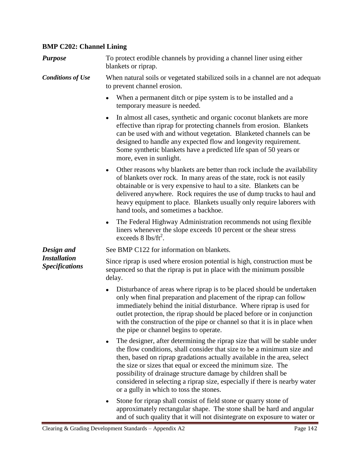## **BMP C202: Channel Lining**

| <b>Purpose</b>                                             | To protect erodible channels by providing a channel liner using either<br>blankets or riprap.                                                                                                                                                                                                                                                                                                                                                                                                         |
|------------------------------------------------------------|-------------------------------------------------------------------------------------------------------------------------------------------------------------------------------------------------------------------------------------------------------------------------------------------------------------------------------------------------------------------------------------------------------------------------------------------------------------------------------------------------------|
| <b>Conditions of Use</b>                                   | When natural soils or vegetated stabilized soils in a channel are not adequate<br>to prevent channel erosion.                                                                                                                                                                                                                                                                                                                                                                                         |
|                                                            | When a permanent ditch or pipe system is to be installed and a<br>temporary measure is needed.                                                                                                                                                                                                                                                                                                                                                                                                        |
|                                                            | In almost all cases, synthetic and organic coconut blankets are more<br>$\bullet$<br>effective than riprap for protecting channels from erosion. Blankets<br>can be used with and without vegetation. Blanketed channels can be<br>designed to handle any expected flow and longevity requirement.<br>Some synthetic blankets have a predicted life span of 50 years or<br>more, even in sunlight.                                                                                                    |
|                                                            | Other reasons why blankets are better than rock include the availability<br>$\bullet$<br>of blankets over rock. In many areas of the state, rock is not easily<br>obtainable or is very expensive to haul to a site. Blankets can be<br>delivered anywhere. Rock requires the use of dump trucks to haul and<br>heavy equipment to place. Blankets usually only require laborers with<br>hand tools, and sometimes a backhoe.                                                                         |
|                                                            | The Federal Highway Administration recommends not using flexible<br>٠<br>liners whenever the slope exceeds 10 percent or the shear stress<br>exceeds $8 \text{ lbs/ft}^2$ .                                                                                                                                                                                                                                                                                                                           |
| Design and<br><b>Installation</b><br><b>Specifications</b> | See BMP C122 for information on blankets.                                                                                                                                                                                                                                                                                                                                                                                                                                                             |
|                                                            | Since riprap is used where erosion potential is high, construction must be<br>sequenced so that the riprap is put in place with the minimum possible<br>delay.                                                                                                                                                                                                                                                                                                                                        |
|                                                            | Disturbance of areas where riprap is to be placed should be undertaken<br>$\bullet$<br>only when final preparation and placement of the riprap can follow<br>immediately behind the initial disturbance. Where riprap is used for<br>outlet protection, the riprap should be placed before or in conjunction<br>with the construction of the pipe or channel so that it is in place when<br>the pipe or channel begins to operate.                                                                    |
|                                                            | The designer, after determining the riprap size that will be stable under<br>$\bullet$<br>the flow conditions, shall consider that size to be a minimum size and<br>then, based on riprap gradations actually available in the area, select<br>the size or sizes that equal or exceed the minimum size. The<br>possibility of drainage structure damage by children shall be<br>considered in selecting a riprap size, especially if there is nearby water<br>or a gully in which to toss the stones. |
|                                                            | Stone for riprap shall consist of field stone or quarry stone of<br>٠<br>approximately rectangular shape. The stone shall be hard and angular<br>and of such quality that it will not disintegrate on exposure to water or                                                                                                                                                                                                                                                                            |